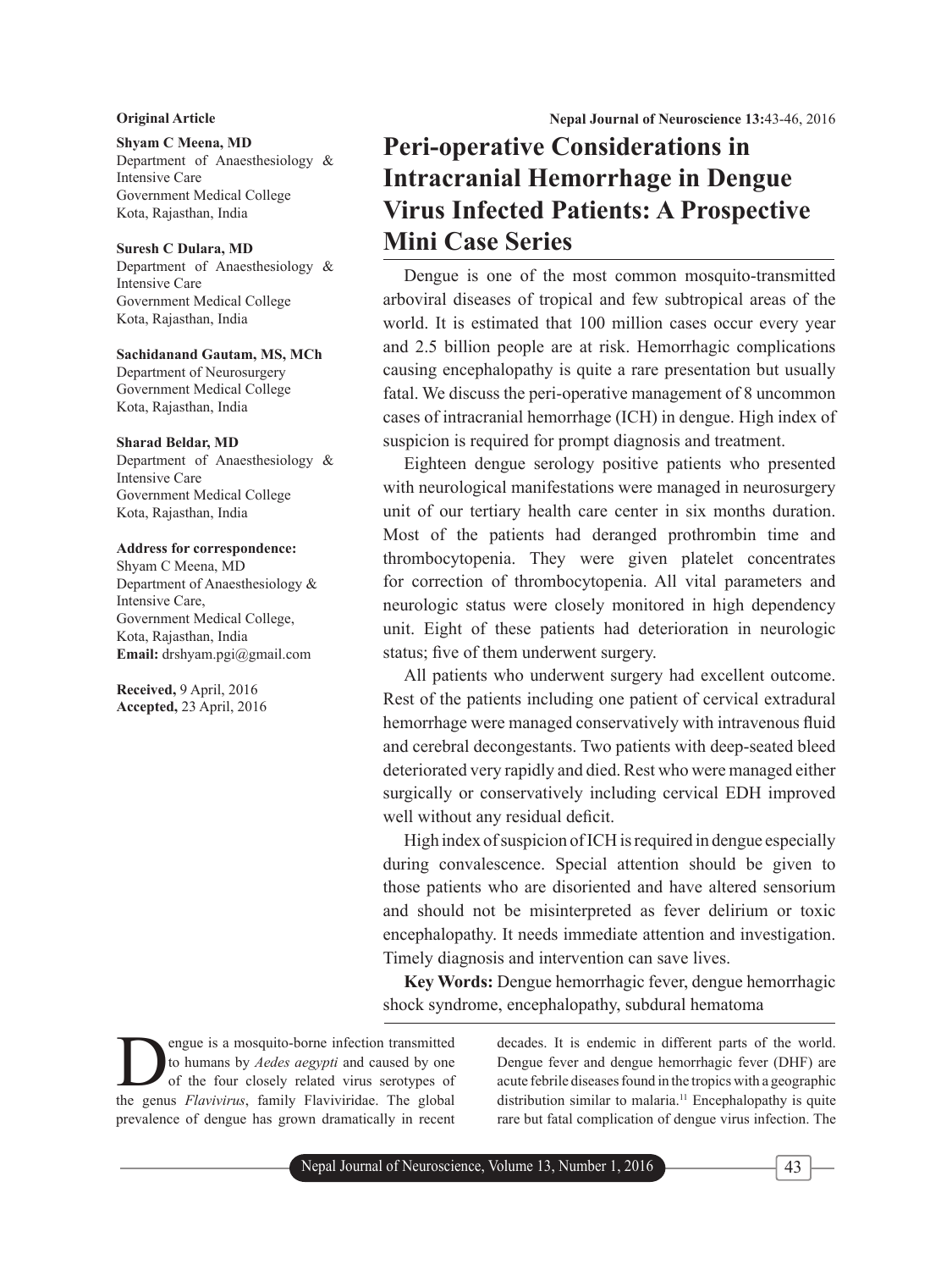### **Shyam C Meena, MD**

Department of Anaesthesiology & Intensive Care Government Medical College Kota, Rajasthan, India

#### **Suresh C Dulara, MD**

Department of Anaesthesiology & Intensive Care Government Medical College Kota, Rajasthan, India

### **Sachidanand Gautam, MS, MCh** Department of Neurosurgery Government Medical College Kota, Rajasthan, India

#### **Sharad Beldar, MD**

Department of Anaesthesiology & Intensive Care Government Medical College Kota, Rajasthan, India

#### **Address for correspondence:**

Shyam C Meena, MD Department of Anaesthesiology & Intensive Care, Government Medical College, Kota, Rajasthan, India **Email:** drshyam.pgi@gmail.com

**Received,** 9 April, 2016 **Accepted,** 23 April, 2016

**Original Article Nepal Journal of Neuroscience 13:**43-46, 2016

# **Peri-operative Considerations in Intracranial Hemorrhage in Dengue Virus Infected Patients: A Prospective Mini Case Series**

Dengue is one of the most common mosquito-transmitted arboviral diseases of tropical and few subtropical areas of the world. It is estimated that 100 million cases occur every year and 2.5 billion people are at risk. Hemorrhagic complications causing encephalopathy is quite a rare presentation but usually fatal. We discuss the peri-operative management of 8 uncommon cases of intracranial hemorrhage (ICH) in dengue. High index of suspicion is required for prompt diagnosis and treatment.

Eighteen dengue serology positive patients who presented with neurological manifestations were managed in neurosurgery unit of our tertiary health care center in six months duration. Most of the patients had deranged prothrombin time and thrombocytopenia. They were given platelet concentrates for correction of thrombocytopenia. All vital parameters and neurologic status were closely monitored in high dependency unit. Eight of these patients had deterioration in neurologic status; five of them underwent surgery.

All patients who underwent surgery had excellent outcome. Rest of the patients including one patient of cervical extradural hemorrhage were managed conservatively with intravenous fluid and cerebral decongestants. Two patients with deep-seated bleed deteriorated very rapidly and died. Rest who were managed either surgically or conservatively including cervical EDH improved well without any residual deficit.

High index of suspicion of ICH is required in dengue especially during convalescence. Special attention should be given to those patients who are disoriented and have altered sensorium and should not be misinterpreted as fever delirium or toxic encephalopathy. It needs immediate attention and investigation. Timely diagnosis and intervention can save lives.

**Key Words:** Dengue hemorrhagic fever, dengue hemorrhagic shock syndrome, encephalopathy, subdural hematoma

engue is a mosquito-borne infection transmitted to humans by *Aedes aegypti* and caused by one of the four closely related virus serotypes of the genus *Flavivirus*, family Flaviviridae. The global prevalence of dengue has grown dramatically in recent decades. It is endemic in different parts of the world. Dengue fever and dengue hemorrhagic fever (DHF) are acute febrile diseases found in the tropics with a geographic distribution similar to malaria.<sup>11</sup> Encephalopathy is quite rare but fatal complication of dengue virus infection. The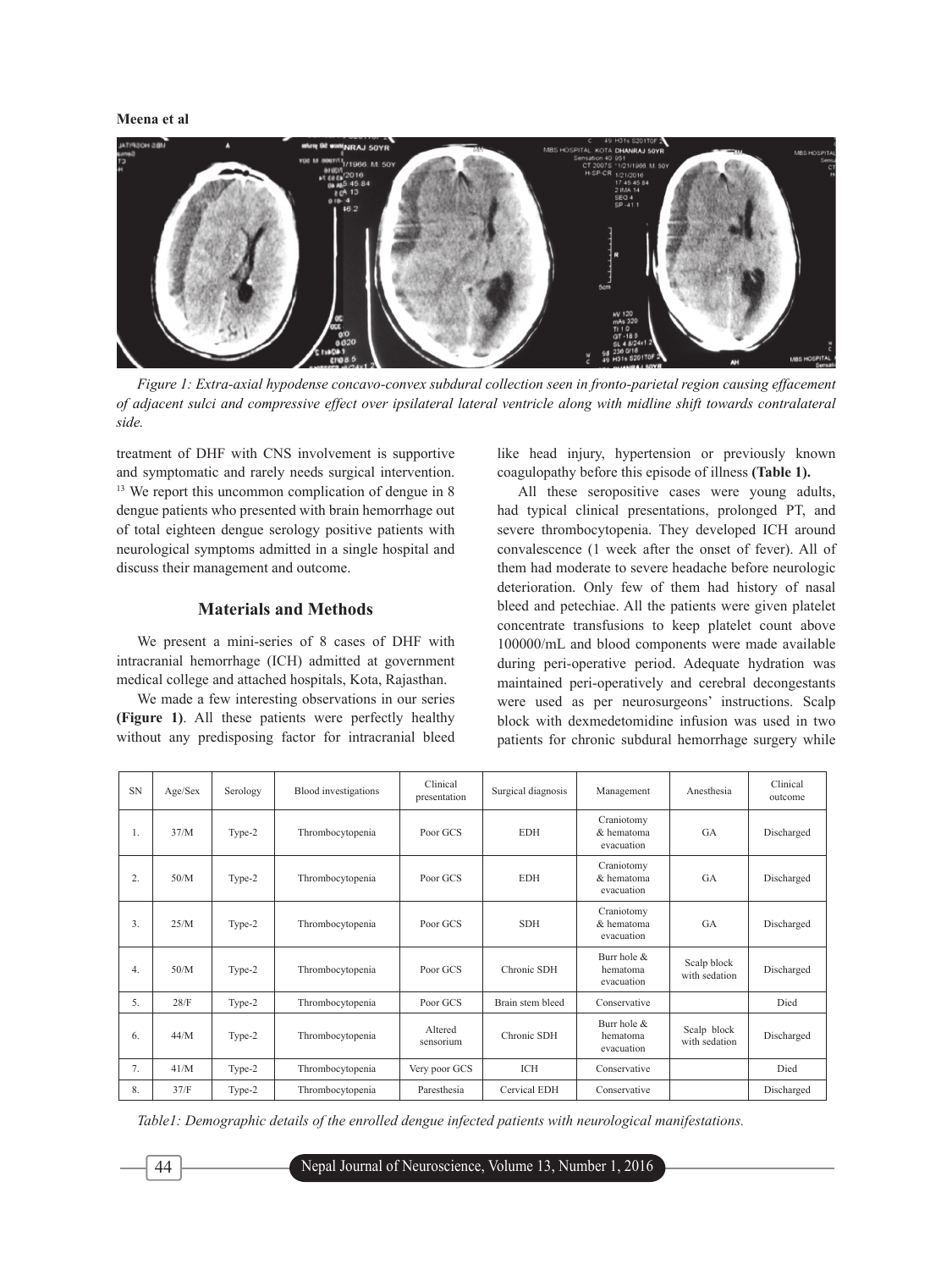#### **Meena et al**



*Figure 1: Extra-axial hypodense concavo-convex subdural collection seen in fronto-parietal region causing effacement of adjacent sulci and compressive effect over ipsilateral lateral ventricle along with midline shift towards contralateral side.*

treatment of DHF with CNS involvement is supportive and symptomatic and rarely needs surgical intervention. <sup>13</sup> We report this uncommon complication of dengue in 8 dengue patients who presented with brain hemorrhage out of total eighteen dengue serology positive patients with neurological symptoms admitted in a single hospital and discuss their management and outcome.

#### **Materials and Methods**

We present a mini-series of 8 cases of DHF with intracranial hemorrhage (ICH) admitted at government medical college and attached hospitals, Kota, Rajasthan.

We made a few interesting observations in our series **(Figure 1)**. All these patients were perfectly healthy without any predisposing factor for intracranial bleed like head injury, hypertension or previously known coagulopathy before this episode of illness **(Table 1).**

All these seropositive cases were young adults, had typical clinical presentations, prolonged PT, and severe thrombocytopenia. They developed ICH around convalescence (1 week after the onset of fever). All of them had moderate to severe headache before neurologic deterioration. Only few of them had history of nasal bleed and petechiae. All the patients were given platelet concentrate transfusions to keep platelet count above 100000/mL and blood components were made available during peri-operative period. Adequate hydration was maintained peri-operatively and cerebral decongestants were used as per neurosurgeons' instructions. Scalp block with dexmedetomidine infusion was used in two patients for chronic subdural hemorrhage surgery while

| <b>SN</b> | Age/Sex | Serology | Blood investigations | Clinical<br>presentation | Surgical diagnosis | Management                               | Anesthesia                   | Clinical<br>outcome |
|-----------|---------|----------|----------------------|--------------------------|--------------------|------------------------------------------|------------------------------|---------------------|
| Ι.        | 37/M    | Type-2   | Thrombocytopenia     | Poor GCS                 | <b>EDH</b>         | Craniotomy<br>& hematoma<br>evacuation   | <b>GA</b>                    | Discharged          |
| 2.        | 50/M    | Type-2   | Thrombocytopenia     | Poor GCS                 | <b>EDH</b>         | Craniotomy<br>& hematoma<br>evacuation   | <b>GA</b>                    | Discharged          |
| 3.        | 25/M    | Type-2   | Thrombocytopenia     | Poor GCS                 | <b>SDH</b>         | Craniotomy<br>& hematoma<br>evacuation   | GA                           | Discharged          |
| 4.        | 50/M    | Type-2   | Thrombocytopenia     | Poor GCS                 | Chronic SDH        | Burr hole $\&$<br>hematoma<br>evacuation | Scalp block<br>with sedation | Discharged          |
| 5.        | 28/F    | Type-2   | Thrombocytopenia     | Poor GCS                 | Brain stem bleed   | Conservative                             |                              | Died                |
| 6.        | 44/M    | Type-2   | Thrombocytopenia     | Altered<br>sensorium     | Chronic SDH        | Burr hole $\&$<br>hematoma<br>evacuation | Scalp block<br>with sedation | Discharged          |
| 7.        | 41/M    | Type-2   | Thrombocytopenia     | Very poor GCS            | ICH                | Conservative                             |                              | Died                |
| 8.        | 37/F    | Type-2   | Thrombocytopenia     | Paresthesia              | Cervical EDH       | Conservative                             |                              | Discharged          |

*Table1: Demographic details of the enrolled dengue infected patients with neurological manifestations.*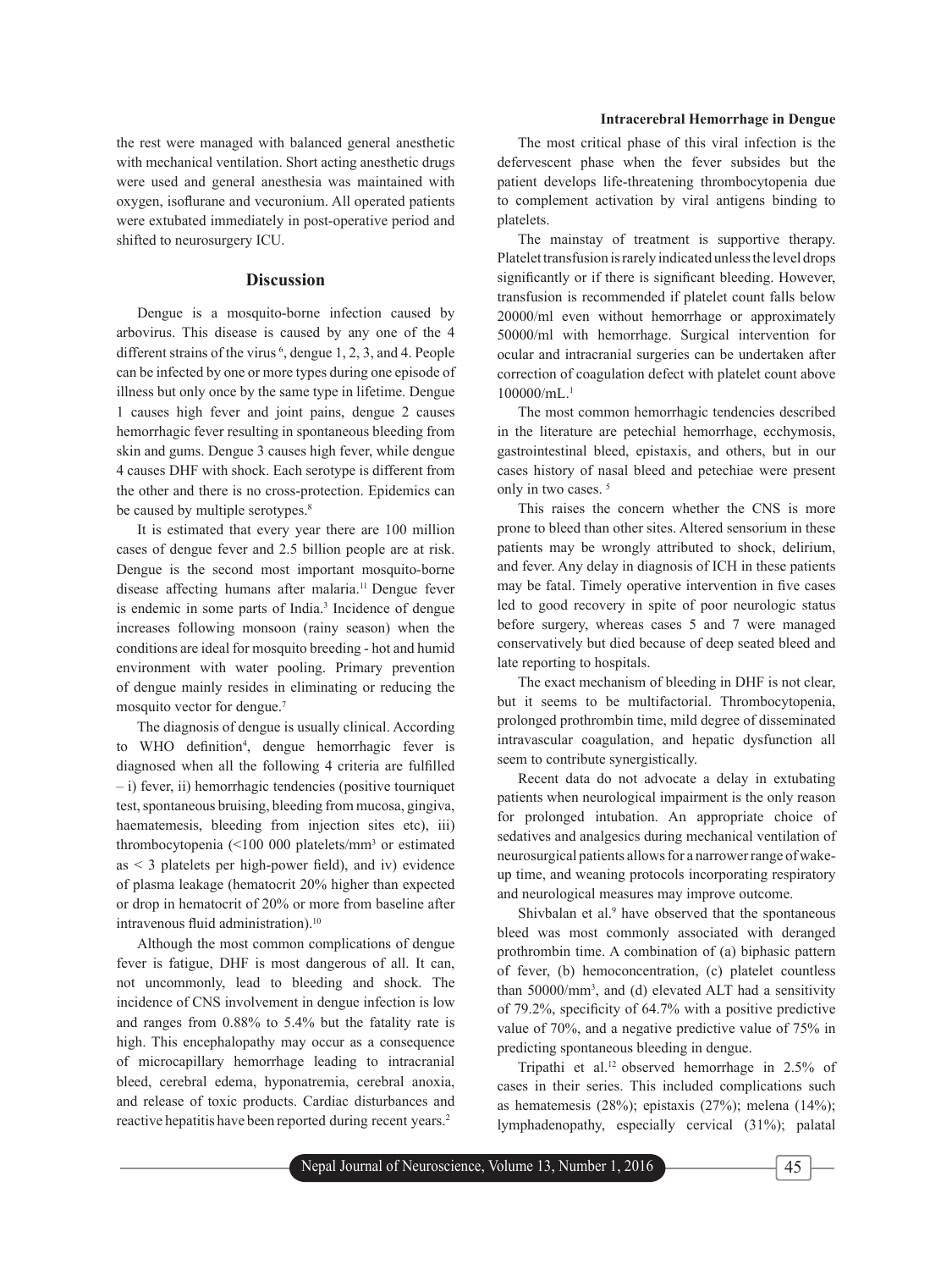## **Intracerebral Hemorrhage in Dengue**

the rest were managed with balanced general anesthetic with mechanical ventilation. Short acting anesthetic drugs were used and general anesthesia was maintained with oxygen, isoflurane and vecuronium. All operated patients were extubated immediately in post-operative period and shifted to neurosurgery ICU.

# **Discussion**

Dengue is a mosquito-borne infection caused by arbovirus. This disease is caused by any one of the 4 different strains of the virus  $\frac{6}{3}$ , dengue 1, 2, 3, and 4. People can be infected by one or more types during one episode of illness but only once by the same type in lifetime. Dengue 1 causes high fever and joint pains, dengue 2 causes hemorrhagic fever resulting in spontaneous bleeding from skin and gums. Dengue 3 causes high fever, while dengue 4 causes DHF with shock. Each serotype is different from the other and there is no cross-protection. Epidemics can be caused by multiple serotypes.<sup>8</sup>

It is estimated that every year there are 100 million cases of dengue fever and 2.5 billion people are at risk. Dengue is the second most important mosquito-borne disease affecting humans after malaria.<sup>11</sup> Dengue fever is endemic in some parts of India.<sup>3</sup> Incidence of dengue increases following monsoon (rainy season) when the conditions are ideal for mosquito breeding - hot and humid environment with water pooling. Primary prevention of dengue mainly resides in eliminating or reducing the mosquito vector for dengue.7

The diagnosis of dengue is usually clinical. According to WHO definition<sup>4</sup>, dengue hemorrhagic fever is diagnosed when all the following 4 criteria are fulfilled – i) fever, ii) hemorrhagic tendencies (positive tourniquet test, spontaneous bruising, bleeding from mucosa, gingiva, haematemesis, bleeding from injection sites etc), iii) thrombocytopenia (<100 000 platelets/mm3 or estimated as  $\leq$  3 platelets per high-power field), and iv) evidence of plasma leakage (hematocrit 20% higher than expected or drop in hematocrit of 20% or more from baseline after intravenous fluid administration).<sup>10</sup>

Although the most common complications of dengue fever is fatigue, DHF is most dangerous of all. It can, not uncommonly, lead to bleeding and shock. The incidence of CNS involvement in dengue infection is low and ranges from 0.88% to 5.4% but the fatality rate is high. This encephalopathy may occur as a consequence of microcapillary hemorrhage leading to intracranial bleed, cerebral edema, hyponatremia, cerebral anoxia, and release of toxic products. Cardiac disturbances and reactive hepatitis have been reported during recent years.2

The most critical phase of this viral infection is the defervescent phase when the fever subsides but the patient develops life-threatening thrombocytopenia due to complement activation by viral antigens binding to platelets.

The mainstay of treatment is supportive therapy. Platelet transfusion is rarely indicated unless the level drops significantly or if there is significant bleeding. However, transfusion is recommended if platelet count falls below 20000/ml even without hemorrhage or approximately 50000/ml with hemorrhage. Surgical intervention for ocular and intracranial surgeries can be undertaken after correction of coagulation defect with platelet count above  $100000$ /mL.<sup>1</sup>

The most common hemorrhagic tendencies described in the literature are petechial hemorrhage, ecchymosis, gastrointestinal bleed, epistaxis, and others, but in our cases history of nasal bleed and petechiae were present only in two cases.<sup>5</sup>

This raises the concern whether the CNS is more prone to bleed than other sites. Altered sensorium in these patients may be wrongly attributed to shock, delirium, and fever. Any delay in diagnosis of ICH in these patients may be fatal. Timely operative intervention in five cases led to good recovery in spite of poor neurologic status before surgery, whereas cases 5 and 7 were managed conservatively but died because of deep seated bleed and late reporting to hospitals.

The exact mechanism of bleeding in DHF is not clear, but it seems to be multifactorial. Thrombocytopenia, prolonged prothrombin time, mild degree of disseminated intravascular coagulation, and hepatic dysfunction all seem to contribute synergistically.

Recent data do not advocate a delay in extubating patients when neurological impairment is the only reason for prolonged intubation. An appropriate choice of sedatives and analgesics during mechanical ventilation of neurosurgical patients allows for a narrower range of wakeup time, and weaning protocols incorporating respiratory and neurological measures may improve outcome.

Shivbalan et al.<sup>9</sup> have observed that the spontaneous bleed was most commonly associated with deranged prothrombin time. A combination of (a) biphasic pattern of fever, (b) hemoconcentration, (c) platelet countless than 50000/mm3 , and (d) elevated ALT had a sensitivity of 79.2%, specificity of  $64.7\%$  with a positive predictive value of 70%, and a negative predictive value of 75% in predicting spontaneous bleeding in dengue.

Tripathi et al.12 observed hemorrhage in 2.5% of cases in their series. This included complications such as hematemesis (28%); epistaxis (27%); melena (14%); lymphadenopathy, especially cervical (31%); palatal